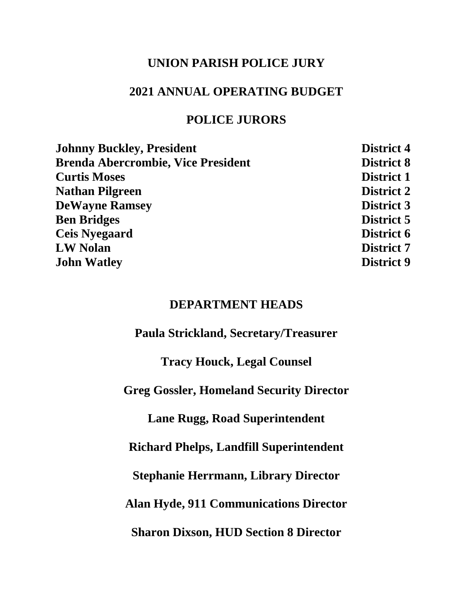### **UNION PARISH POLICE JURY**

### **2021 ANNUAL OPERATING BUDGET**

### **POLICE JURORS**

| <b>Johnny Buckley, President</b>          | <b>District 4</b> |
|-------------------------------------------|-------------------|
| <b>Brenda Abercrombie, Vice President</b> | <b>District 8</b> |
| <b>Curtis Moses</b>                       | <b>District 1</b> |
| <b>Nathan Pilgreen</b>                    | <b>District 2</b> |
| <b>DeWayne Ramsey</b>                     | <b>District 3</b> |
| <b>Ben Bridges</b>                        | <b>District 5</b> |
| <b>Ceis Nyegaard</b>                      | <b>District 6</b> |
| <b>LW Nolan</b>                           | <b>District 7</b> |
| <b>John Watley</b>                        | <b>District 9</b> |
|                                           |                   |

### **DEPARTMENT HEADS**

**Paula Strickland, Secretary/Treasurer**

**Tracy Houck, Legal Counsel**

**Greg Gossler, Homeland Security Director**

**Lane Rugg, Road Superintendent**

**Richard Phelps, Landfill Superintendent**

**Stephanie Herrmann, Library Director**

**Alan Hyde, 911 Communications Director**

**Sharon Dixson, HUD Section 8 Director**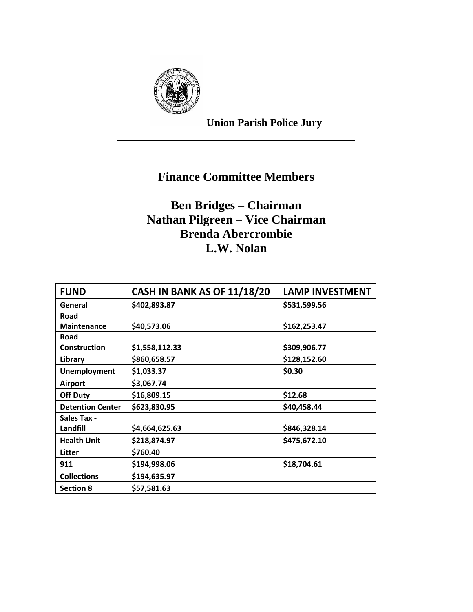

**Union Parish Police Jury**

# **Finance Committee Members**

\_\_\_\_\_\_\_\_\_\_\_\_\_\_\_\_\_\_\_\_\_\_\_\_\_\_\_\_\_\_\_\_\_\_\_\_\_\_\_\_\_\_\_\_

# **Ben Bridges – Chairman Nathan Pilgreen – Vice Chairman Brenda Abercrombie L.W. Nolan**

| <b>FUND</b>             | <b>CASH IN BANK AS OF 11/18/20</b> | <b>LAMP INVESTMENT</b> |
|-------------------------|------------------------------------|------------------------|
| General                 | \$402,893.87                       | \$531,599.56           |
| Road                    |                                    |                        |
| <b>Maintenance</b>      | \$40,573.06                        | \$162,253.47           |
| Road                    |                                    |                        |
| <b>Construction</b>     | \$1,558,112.33                     | \$309,906.77           |
| Library                 | \$860,658.57                       | \$128,152.60           |
| <b>Unemployment</b>     | \$1,033.37                         | \$0.30                 |
| <b>Airport</b>          | \$3,067.74                         |                        |
| <b>Off Duty</b>         | \$16,809.15                        | \$12.68                |
| <b>Detention Center</b> | \$623,830.95                       | \$40,458.44            |
| <b>Sales Tax -</b>      |                                    |                        |
| Landfill                | \$4,664,625.63                     | \$846,328.14           |
| <b>Health Unit</b>      | \$218,874.97                       | \$475,672.10           |
| Litter                  | \$760.40                           |                        |
| 911                     | \$194,998.06                       | \$18,704.61            |
| <b>Collections</b>      | \$194,635.97                       |                        |
| <b>Section 8</b>        | \$57,581.63                        |                        |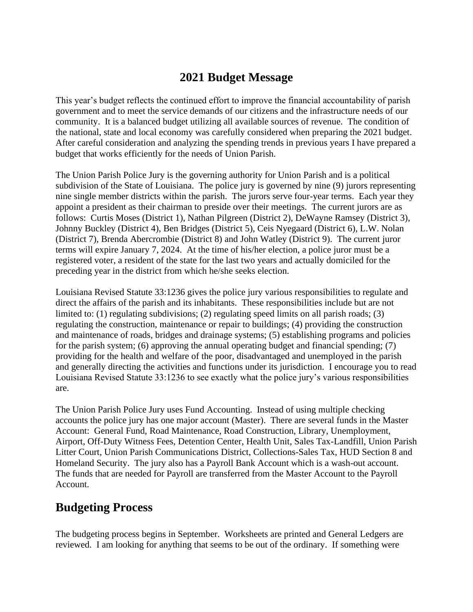### **2021 Budget Message**

This year's budget reflects the continued effort to improve the financial accountability of parish government and to meet the service demands of our citizens and the infrastructure needs of our community. It is a balanced budget utilizing all available sources of revenue. The condition of the national, state and local economy was carefully considered when preparing the 2021 budget. After careful consideration and analyzing the spending trends in previous years I have prepared a budget that works efficiently for the needs of Union Parish.

The Union Parish Police Jury is the governing authority for Union Parish and is a political subdivision of the State of Louisiana. The police jury is governed by nine (9) jurors representing nine single member districts within the parish. The jurors serve four-year terms. Each year they appoint a president as their chairman to preside over their meetings. The current jurors are as follows: Curtis Moses (District 1), Nathan Pilgreen (District 2), DeWayne Ramsey (District 3), Johnny Buckley (District 4), Ben Bridges (District 5), Ceis Nyegaard (District 6), L.W. Nolan (District 7), Brenda Abercrombie (District 8) and John Watley (District 9). The current juror terms will expire January 7, 2024. At the time of his/her election, a police juror must be a registered voter, a resident of the state for the last two years and actually domiciled for the preceding year in the district from which he/she seeks election.

Louisiana Revised Statute 33:1236 gives the police jury various responsibilities to regulate and direct the affairs of the parish and its inhabitants. These responsibilities include but are not limited to: (1) regulating subdivisions; (2) regulating speed limits on all parish roads; (3) regulating the construction, maintenance or repair to buildings; (4) providing the construction and maintenance of roads, bridges and drainage systems; (5) establishing programs and policies for the parish system; (6) approving the annual operating budget and financial spending; (7) providing for the health and welfare of the poor, disadvantaged and unemployed in the parish and generally directing the activities and functions under its jurisdiction. I encourage you to read Louisiana Revised Statute 33:1236 to see exactly what the police jury's various responsibilities are.

The Union Parish Police Jury uses Fund Accounting. Instead of using multiple checking accounts the police jury has one major account (Master). There are several funds in the Master Account: General Fund, Road Maintenance, Road Construction, Library, Unemployment, Airport, Off-Duty Witness Fees, Detention Center, Health Unit, Sales Tax-Landfill, Union Parish Litter Court, Union Parish Communications District, Collections-Sales Tax, HUD Section 8 and Homeland Security. The jury also has a Payroll Bank Account which is a wash-out account. The funds that are needed for Payroll are transferred from the Master Account to the Payroll Account.

## **Budgeting Process**

The budgeting process begins in September. Worksheets are printed and General Ledgers are reviewed. I am looking for anything that seems to be out of the ordinary. If something were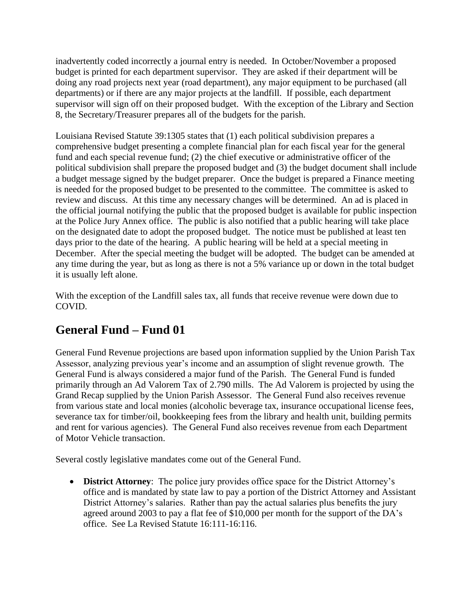inadvertently coded incorrectly a journal entry is needed. In October/November a proposed budget is printed for each department supervisor. They are asked if their department will be doing any road projects next year (road department), any major equipment to be purchased (all departments) or if there are any major projects at the landfill. If possible, each department supervisor will sign off on their proposed budget. With the exception of the Library and Section 8, the Secretary/Treasurer prepares all of the budgets for the parish.

Louisiana Revised Statute 39:1305 states that (1) each political subdivision prepares a comprehensive budget presenting a complete financial plan for each fiscal year for the general fund and each special revenue fund; (2) the chief executive or administrative officer of the political subdivision shall prepare the proposed budget and (3) the budget document shall include a budget message signed by the budget preparer. Once the budget is prepared a Finance meeting is needed for the proposed budget to be presented to the committee. The committee is asked to review and discuss. At this time any necessary changes will be determined. An ad is placed in the official journal notifying the public that the proposed budget is available for public inspection at the Police Jury Annex office. The public is also notified that a public hearing will take place on the designated date to adopt the proposed budget. The notice must be published at least ten days prior to the date of the hearing. A public hearing will be held at a special meeting in December. After the special meeting the budget will be adopted. The budget can be amended at any time during the year, but as long as there is not a 5% variance up or down in the total budget it is usually left alone.

With the exception of the Landfill sales tax, all funds that receive revenue were down due to COVID.

# **General Fund – Fund 01**

General Fund Revenue projections are based upon information supplied by the Union Parish Tax Assessor, analyzing previous year's income and an assumption of slight revenue growth. The General Fund is always considered a major fund of the Parish. The General Fund is funded primarily through an Ad Valorem Tax of 2.790 mills. The Ad Valorem is projected by using the Grand Recap supplied by the Union Parish Assessor. The General Fund also receives revenue from various state and local monies (alcoholic beverage tax, insurance occupational license fees, severance tax for timber/oil, bookkeeping fees from the library and health unit, building permits and rent for various agencies). The General Fund also receives revenue from each Department of Motor Vehicle transaction.

Several costly legislative mandates come out of the General Fund.

• **District Attorney**: The police jury provides office space for the District Attorney's office and is mandated by state law to pay a portion of the District Attorney and Assistant District Attorney's salaries. Rather than pay the actual salaries plus benefits the jury agreed around 2003 to pay a flat fee of \$10,000 per month for the support of the DA's office. See La Revised Statute 16:111-16:116.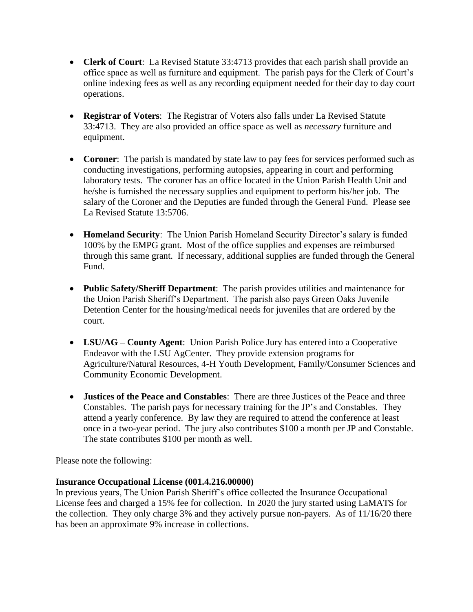- **Clerk of Court**: La Revised Statute 33:4713 provides that each parish shall provide an office space as well as furniture and equipment. The parish pays for the Clerk of Court's online indexing fees as well as any recording equipment needed for their day to day court operations.
- **Registrar of Voters**: The Registrar of Voters also falls under La Revised Statute 33:4713. They are also provided an office space as well as *necessary* furniture and equipment.
- **Coroner**: The parish is mandated by state law to pay fees for services performed such as conducting investigations, performing autopsies, appearing in court and performing laboratory tests. The coroner has an office located in the Union Parish Health Unit and he/she is furnished the necessary supplies and equipment to perform his/her job. The salary of the Coroner and the Deputies are funded through the General Fund. Please see La Revised Statute 13:5706.
- **Homeland Security**: The Union Parish Homeland Security Director's salary is funded 100% by the EMPG grant. Most of the office supplies and expenses are reimbursed through this same grant. If necessary, additional supplies are funded through the General Fund.
- **Public Safety/Sheriff Department**: The parish provides utilities and maintenance for the Union Parish Sheriff's Department. The parish also pays Green Oaks Juvenile Detention Center for the housing/medical needs for juveniles that are ordered by the court.
- **LSU/AG County Agent**: Union Parish Police Jury has entered into a Cooperative Endeavor with the LSU AgCenter. They provide extension programs for Agriculture/Natural Resources, 4-H Youth Development, Family/Consumer Sciences and Community Economic Development.
- **Justices of the Peace and Constables**: There are three Justices of the Peace and three Constables. The parish pays for necessary training for the JP's and Constables. They attend a yearly conference. By law they are required to attend the conference at least once in a two-year period. The jury also contributes \$100 a month per JP and Constable. The state contributes \$100 per month as well.

Please note the following:

### **Insurance Occupational License (001.4.216.00000)**

In previous years, The Union Parish Sheriff's office collected the Insurance Occupational License fees and charged a 15% fee for collection. In 2020 the jury started using LaMATS for the collection. They only charge 3% and they actively pursue non-payers. As of 11/16/20 there has been an approximate 9% increase in collections.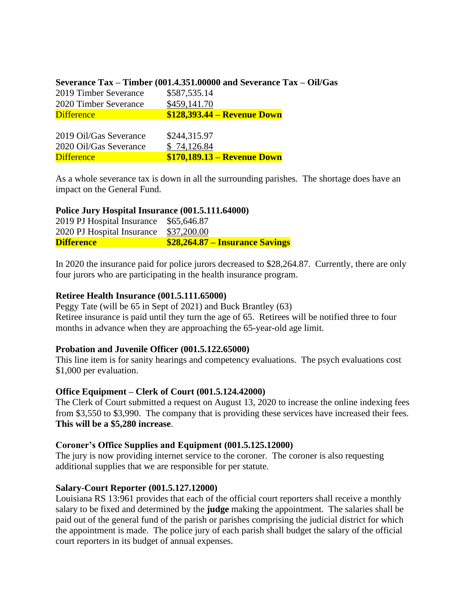|                        | Severance Tax – Timber (001.4.351.00000 and Severance Tax – Oil/Gas |
|------------------------|---------------------------------------------------------------------|
| 2019 Timber Severance  | \$587,535.14                                                        |
| 2020 Timber Severance  | \$459,141.70                                                        |
| <b>Difference</b>      | <b>\$128,393.44 – Revenue Down</b>                                  |
|                        |                                                                     |
| 2019 Oil/Gas Severance | \$244,315.97                                                        |
| 2020 Oil/Gas Severance | \$74,126.84                                                         |
| <b>Difference</b>      | \$170,189.13 – Revenue Down                                         |

As a whole severance tax is down in all the surrounding parishes. The shortage does have an impact on the General Fund.

#### **Police Jury Hospital Insurance (001.5.111.64000)**

| 2019 PJ Hospital Insurance \$65,646.87 |                                        |
|----------------------------------------|----------------------------------------|
| 2020 PJ Hospital Insurance \$37,200.00 |                                        |
| <b>Difference</b>                      | <b>\$28,264.87 – Insurance Savings</b> |

In 2020 the insurance paid for police jurors decreased to \$28,264.87. Currently, there are only four jurors who are participating in the health insurance program.

#### **Retiree Health Insurance (001.5.111.65000)**

Peggy Tate (will be 65 in Sept of 2021) and Buck Brantley (63) Retiree insurance is paid until they turn the age of 65. Retirees will be notified three to four months in advance when they are approaching the 65-year-old age limit.

#### **Probation and Juvenile Officer (001.5.122.65000)**

This line item is for sanity hearings and competency evaluations. The psych evaluations cost \$1,000 per evaluation.

#### **Office Equipment – Clerk of Court (001.5.124.42000)**

The Clerk of Court submitted a request on August 13, 2020 to increase the online indexing fees from \$3,550 to \$3,990. The company that is providing these services have increased their fees. **This will be a \$5,280 increase**.

#### **Coroner's Office Supplies and Equipment (001.5.125.12000)**

The jury is now providing internet service to the coroner. The coroner is also requesting additional supplies that we are responsible for per statute.

#### **Salary-Court Reporter (001.5.127.12000)**

Louisiana RS 13:961 provides that each of the official court reporters shall receive a monthly salary to be fixed and determined by the **judge** making the appointment. The salaries shall be paid out of the general fund of the parish or parishes comprising the judicial district for which the appointment is made. The police jury of each parish shall budget the salary of the official court reporters in its budget of annual expenses.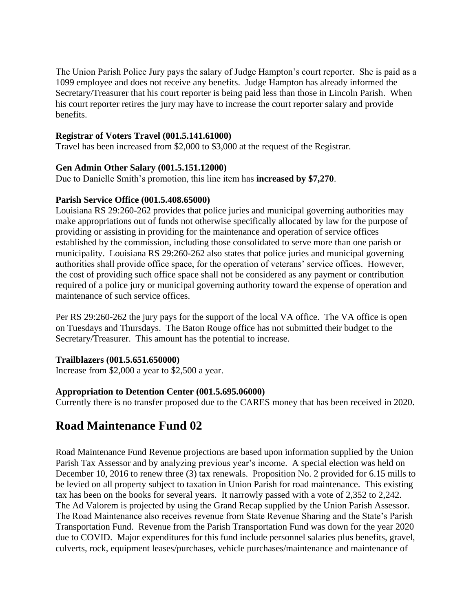The Union Parish Police Jury pays the salary of Judge Hampton's court reporter. She is paid as a 1099 employee and does not receive any benefits. Judge Hampton has already informed the Secretary/Treasurer that his court reporter is being paid less than those in Lincoln Parish. When his court reporter retires the jury may have to increase the court reporter salary and provide benefits.

#### **Registrar of Voters Travel (001.5.141.61000)**

Travel has been increased from \$2,000 to \$3,000 at the request of the Registrar.

#### **Gen Admin Other Salary (001.5.151.12000)**

Due to Danielle Smith's promotion, this line item has **increased by \$7,270**.

#### **Parish Service Office (001.5.408.65000)**

Louisiana RS 29:260-262 provides that police juries and municipal governing authorities may make appropriations out of funds not otherwise specifically allocated by law for the purpose of providing or assisting in providing for the maintenance and operation of service offices established by the commission, including those consolidated to serve more than one parish or municipality. Louisiana RS 29:260-262 also states that police juries and municipal governing authorities shall provide office space, for the operation of veterans' service offices. However, the cost of providing such office space shall not be considered as any payment or contribution required of a police jury or municipal governing authority toward the expense of operation and maintenance of such service offices.

Per RS 29:260-262 the jury pays for the support of the local VA office. The VA office is open on Tuesdays and Thursdays. The Baton Rouge office has not submitted their budget to the Secretary/Treasurer. This amount has the potential to increase.

### **Trailblazers (001.5.651.650000)**

Increase from \$2,000 a year to \$2,500 a year.

#### **Appropriation to Detention Center (001.5.695.06000)**

Currently there is no transfer proposed due to the CARES money that has been received in 2020.

## **Road Maintenance Fund 02**

Road Maintenance Fund Revenue projections are based upon information supplied by the Union Parish Tax Assessor and by analyzing previous year's income. A special election was held on December 10, 2016 to renew three (3) tax renewals. Proposition No. 2 provided for 6.15 mills to be levied on all property subject to taxation in Union Parish for road maintenance. This existing tax has been on the books for several years. It narrowly passed with a vote of 2,352 to 2,242. The Ad Valorem is projected by using the Grand Recap supplied by the Union Parish Assessor. The Road Maintenance also receives revenue from State Revenue Sharing and the State's Parish Transportation Fund. Revenue from the Parish Transportation Fund was down for the year 2020 due to COVID. Major expenditures for this fund include personnel salaries plus benefits, gravel, culverts, rock, equipment leases/purchases, vehicle purchases/maintenance and maintenance of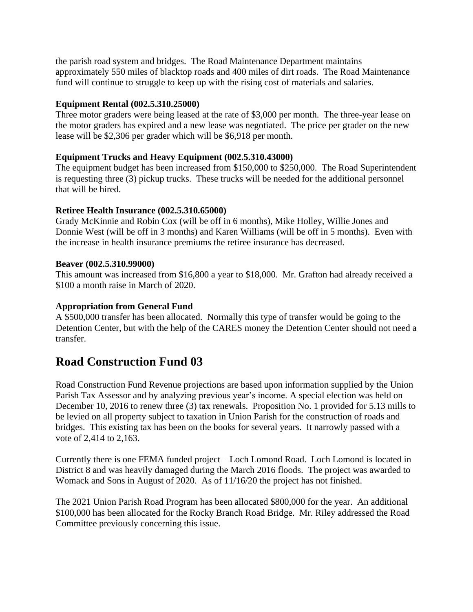the parish road system and bridges. The Road Maintenance Department maintains approximately 550 miles of blacktop roads and 400 miles of dirt roads. The Road Maintenance fund will continue to struggle to keep up with the rising cost of materials and salaries.

### **Equipment Rental (002.5.310.25000)**

Three motor graders were being leased at the rate of \$3,000 per month. The three-year lease on the motor graders has expired and a new lease was negotiated. The price per grader on the new lease will be \$2,306 per grader which will be \$6,918 per month.

### **Equipment Trucks and Heavy Equipment (002.5.310.43000)**

The equipment budget has been increased from \$150,000 to \$250,000. The Road Superintendent is requesting three (3) pickup trucks. These trucks will be needed for the additional personnel that will be hired.

### **Retiree Health Insurance (002.5.310.65000)**

Grady McKinnie and Robin Cox (will be off in 6 months), Mike Holley, Willie Jones and Donnie West (will be off in 3 months) and Karen Williams (will be off in 5 months). Even with the increase in health insurance premiums the retiree insurance has decreased.

### **Beaver (002.5.310.99000)**

This amount was increased from \$16,800 a year to \$18,000. Mr. Grafton had already received a \$100 a month raise in March of 2020.

### **Appropriation from General Fund**

A \$500,000 transfer has been allocated. Normally this type of transfer would be going to the Detention Center, but with the help of the CARES money the Detention Center should not need a transfer.

## **Road Construction Fund 03**

Road Construction Fund Revenue projections are based upon information supplied by the Union Parish Tax Assessor and by analyzing previous year's income. A special election was held on December 10, 2016 to renew three (3) tax renewals. Proposition No. 1 provided for 5.13 mills to be levied on all property subject to taxation in Union Parish for the construction of roads and bridges. This existing tax has been on the books for several years. It narrowly passed with a vote of 2,414 to 2,163.

Currently there is one FEMA funded project – Loch Lomond Road. Loch Lomond is located in District 8 and was heavily damaged during the March 2016 floods. The project was awarded to Womack and Sons in August of 2020. As of 11/16/20 the project has not finished.

The 2021 Union Parish Road Program has been allocated \$800,000 for the year. An additional \$100,000 has been allocated for the Rocky Branch Road Bridge. Mr. Riley addressed the Road Committee previously concerning this issue.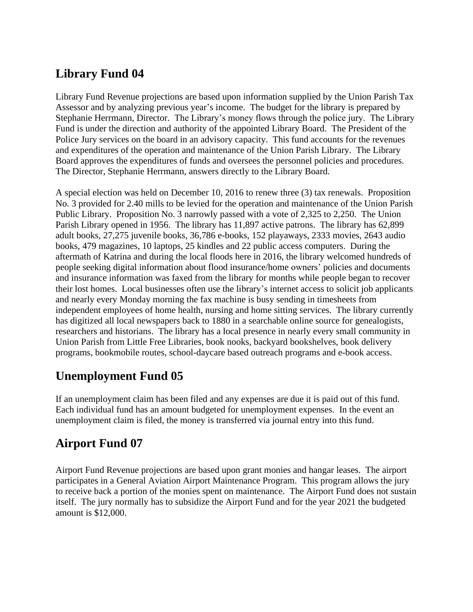# **Library Fund 04**

Library Fund Revenue projections are based upon information supplied by the Union Parish Tax Assessor and by analyzing previous year's income. The budget for the library is prepared by Stephanie Herrmann, Director. The Library's money flows through the police jury. The Library Fund is under the direction and authority of the appointed Library Board. The President of the Police Jury services on the board in an advisory capacity. This fund accounts for the revenues and expenditures of the operation and maintenance of the Union Parish Library. The Library Board approves the expenditures of funds and oversees the personnel policies and procedures. The Director, Stephanie Herrmann, answers directly to the Library Board.

A special election was held on December 10, 2016 to renew three (3) tax renewals. Proposition No. 3 provided for 2.40 mills to be levied for the operation and maintenance of the Union Parish Public Library. Proposition No. 3 narrowly passed with a vote of 2,325 to 2,250. The Union Parish Library opened in 1956. The library has 11,897 active patrons. The library has 62,899 adult books, 27,275 juvenile books, 36,786 e-books, 152 playaways, 2333 movies, 2643 audio books, 479 magazines, 10 laptops, 25 kindles and 22 public access computers. During the aftermath of Katrina and during the local floods here in 2016, the library welcomed hundreds of people seeking digital information about flood insurance/home owners' policies and documents and insurance information was faxed from the library for months while people began to recover their lost homes. Local businesses often use the library's internet access to solicit job applicants and nearly every Monday morning the fax machine is busy sending in timesheets from independent employees of home health, nursing and home sitting services. The library currently has digitized all local newspapers back to 1880 in a searchable online source for genealogists, researchers and historians. The library has a local presence in nearly every small community in Union Parish from Little Free Libraries, book nooks, backyard bookshelves, book delivery programs, bookmobile routes, school-daycare based outreach programs and e-book access.

## **Unemployment Fund 05**

If an unemployment claim has been filed and any expenses are due it is paid out of this fund. Each individual fund has an amount budgeted for unemployment expenses. In the event an unemployment claim is filed, the money is transferred via journal entry into this fund.

# **Airport Fund 07**

Airport Fund Revenue projections are based upon grant monies and hangar leases. The airport participates in a General Aviation Airport Maintenance Program. This program allows the jury to receive back a portion of the monies spent on maintenance. The Airport Fund does not sustain itself. The jury normally has to subsidize the Airport Fund and for the year 2021 the budgeted amount is \$12,000.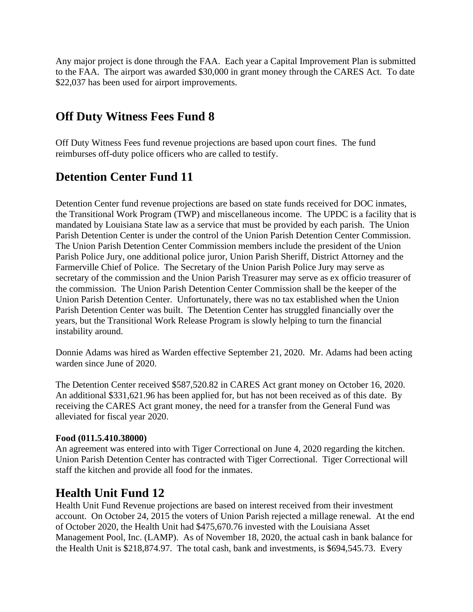Any major project is done through the FAA. Each year a Capital Improvement Plan is submitted to the FAA. The airport was awarded \$30,000 in grant money through the CARES Act. To date \$22,037 has been used for airport improvements.

## **Off Duty Witness Fees Fund 8**

Off Duty Witness Fees fund revenue projections are based upon court fines. The fund reimburses off-duty police officers who are called to testify.

# **Detention Center Fund 11**

Detention Center fund revenue projections are based on state funds received for DOC inmates, the Transitional Work Program (TWP) and miscellaneous income. The UPDC is a facility that is mandated by Louisiana State law as a service that must be provided by each parish. The Union Parish Detention Center is under the control of the Union Parish Detention Center Commission. The Union Parish Detention Center Commission members include the president of the Union Parish Police Jury, one additional police juror, Union Parish Sheriff, District Attorney and the Farmerville Chief of Police. The Secretary of the Union Parish Police Jury may serve as secretary of the commission and the Union Parish Treasurer may serve as ex officio treasurer of the commission. The Union Parish Detention Center Commission shall be the keeper of the Union Parish Detention Center. Unfortunately, there was no tax established when the Union Parish Detention Center was built. The Detention Center has struggled financially over the years, but the Transitional Work Release Program is slowly helping to turn the financial instability around.

Donnie Adams was hired as Warden effective September 21, 2020. Mr. Adams had been acting warden since June of 2020.

The Detention Center received \$587,520.82 in CARES Act grant money on October 16, 2020. An additional \$331,621.96 has been applied for, but has not been received as of this date. By receiving the CARES Act grant money, the need for a transfer from the General Fund was alleviated for fiscal year 2020.

### **Food (011.5.410.38000)**

An agreement was entered into with Tiger Correctional on June 4, 2020 regarding the kitchen. Union Parish Detention Center has contracted with Tiger Correctional. Tiger Correctional will staff the kitchen and provide all food for the inmates.

## **Health Unit Fund 12**

Health Unit Fund Revenue projections are based on interest received from their investment account. On October 24, 2015 the voters of Union Parish rejected a millage renewal. At the end of October 2020, the Health Unit had \$475,670.76 invested with the Louisiana Asset Management Pool, Inc. (LAMP). As of November 18, 2020, the actual cash in bank balance for the Health Unit is \$218,874.97. The total cash, bank and investments, is \$694,545.73. Every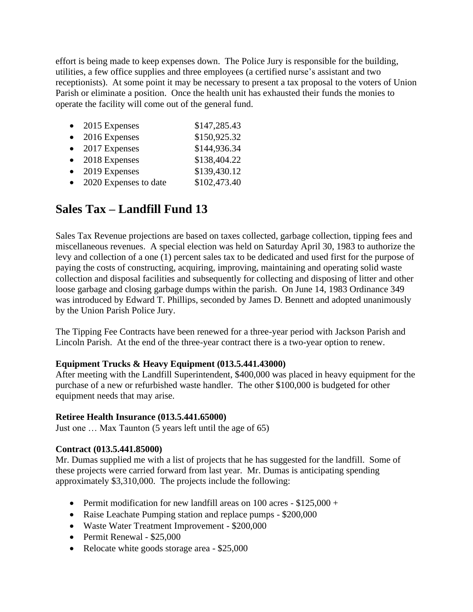effort is being made to keep expenses down. The Police Jury is responsible for the building, utilities, a few office supplies and three employees (a certified nurse's assistant and two receptionists). At some point it may be necessary to present a tax proposal to the voters of Union Parish or eliminate a position. Once the health unit has exhausted their funds the monies to operate the facility will come out of the general fund.

| $\bullet$ | 2015 Expenses         | \$147,285.43 |
|-----------|-----------------------|--------------|
| $\bullet$ | 2016 Expenses         | \$150,925.32 |
| $\bullet$ | 2017 Expenses         | \$144,936.34 |
| $\bullet$ | 2018 Expenses         | \$138,404.22 |
| $\bullet$ | 2019 Expenses         | \$139,430.12 |
|           | 2020 Expenses to date | \$102,473.40 |

## **Sales Tax – Landfill Fund 13**

Sales Tax Revenue projections are based on taxes collected, garbage collection, tipping fees and miscellaneous revenues. A special election was held on Saturday April 30, 1983 to authorize the levy and collection of a one (1) percent sales tax to be dedicated and used first for the purpose of paying the costs of constructing, acquiring, improving, maintaining and operating solid waste collection and disposal facilities and subsequently for collecting and disposing of litter and other loose garbage and closing garbage dumps within the parish. On June 14, 1983 Ordinance 349 was introduced by Edward T. Phillips, seconded by James D. Bennett and adopted unanimously by the Union Parish Police Jury.

The Tipping Fee Contracts have been renewed for a three-year period with Jackson Parish and Lincoln Parish. At the end of the three-year contract there is a two-year option to renew.

### **Equipment Trucks & Heavy Equipment (013.5.441.43000)**

After meeting with the Landfill Superintendent, \$400,000 was placed in heavy equipment for the purchase of a new or refurbished waste handler. The other \$100,000 is budgeted for other equipment needs that may arise.

#### **Retiree Health Insurance (013.5.441.65000)**

Just one … Max Taunton (5 years left until the age of 65)

### **Contract (013.5.441.85000)**

Mr. Dumas supplied me with a list of projects that he has suggested for the landfill. Some of these projects were carried forward from last year. Mr. Dumas is anticipating spending approximately \$3,310,000. The projects include the following:

- Permit modification for new landfill areas on 100 acres  $-$  \$125,000  $+$
- Raise Leachate Pumping station and replace pumps \$200,000
- Waste Water Treatment Improvement \$200,000
- Permit Renewal \$25,000
- Relocate white goods storage area \$25,000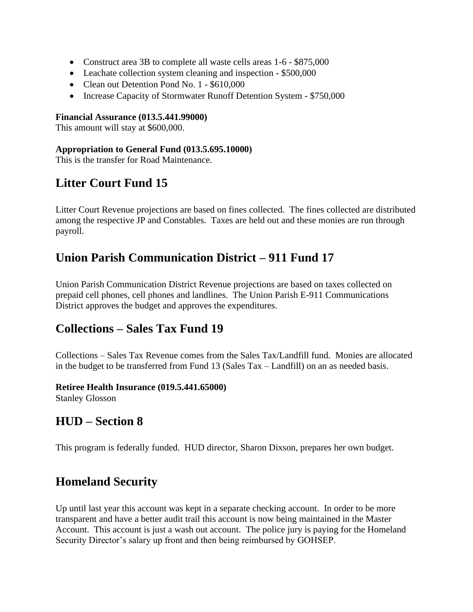- Construct area 3B to complete all waste cells areas 1-6 \$875,000
- Leachate collection system cleaning and inspection \$500,000
- Clean out Detention Pond No. 1 \$610,000
- Increase Capacity of Stormwater Runoff Detention System \$750,000

#### **Financial Assurance (013.5.441.99000)**

This amount will stay at \$600,000.

### **Appropriation to General Fund (013.5.695.10000)**

This is the transfer for Road Maintenance.

## **Litter Court Fund 15**

Litter Court Revenue projections are based on fines collected. The fines collected are distributed among the respective JP and Constables. Taxes are held out and these monies are run through payroll.

## **Union Parish Communication District – 911 Fund 17**

Union Parish Communication District Revenue projections are based on taxes collected on prepaid cell phones, cell phones and landlines. The Union Parish E-911 Communications District approves the budget and approves the expenditures.

## **Collections – Sales Tax Fund 19**

Collections – Sales Tax Revenue comes from the Sales Tax/Landfill fund. Monies are allocated in the budget to be transferred from Fund 13 (Sales Tax – Landfill) on an as needed basis.

### **Retiree Health Insurance (019.5.441.65000)**

Stanley Glosson

## **HUD – Section 8**

This program is federally funded. HUD director, Sharon Dixson, prepares her own budget.

## **Homeland Security**

Up until last year this account was kept in a separate checking account. In order to be more transparent and have a better audit trail this account is now being maintained in the Master Account. This account is just a wash out account. The police jury is paying for the Homeland Security Director's salary up front and then being reimbursed by GOHSEP.